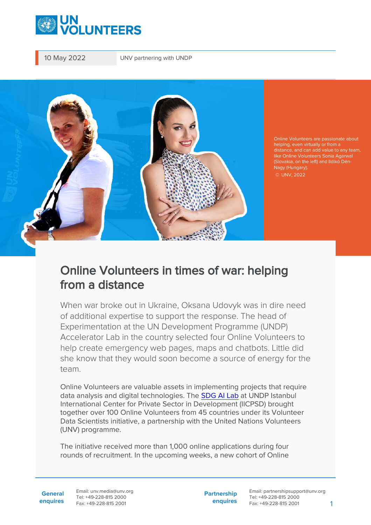

10 May 2022 UNV partnering with UNDP



Online Volunteers are passionate about helping, even virtually or from a distance, and can add value to any team, like Online Volunteers Sonia Agarwa (Slovakia, on the left) and Ildikó Dén-Nagy (Hungary). © UNV, 2022

## Online Volunteers in times of war: helping from a distance

When war broke out in Ukraine, Oksana Udovyk was in dire need of additional expertise to support the response. The head of Experimentation at the UN Development Programme (UNDP) Accelerator Lab in the country selected four Online Volunteers to help create emergency web pages, maps and chatbots. Little did she know that they would soon become a source of energy for the team.

Online Volunteers are valuable assets in implementing projects that require data analysis and digital technologies. The [SDG AI Lab](https://sdgailab.org/) at UNDP Istanbul International Center for Private Sector in Development (IICPSD) brought together over 100 Online Volunteers from 45 countries under its Volunteer Data Scientists initiative, a partnership with the United Nations Volunteers (UNV) programme.

The initiative received more than 1,000 online applications during four rounds of recruitment. In the upcoming weeks, a new cohort of Online

**General enquires** Email: unv.media@unv.org Tel: +49-228-815 2000 Fax: +49-228-815 2001

**Partnership enquires**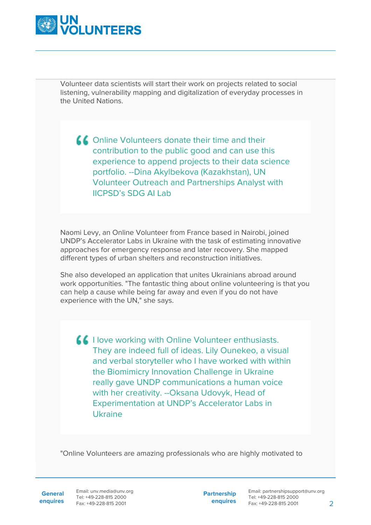

Volunteer data scientists will start their work on projects related to social listening, vulnerability mapping and digitalization of everyday processes in the United Nations.

**44** Online Volunteers donate their time and their contribution to the public good and can use this experience to append projects to their data science portfolio. --Dina Akylbekova (Kazakhstan), UN Volunteer Outreach and Partnerships Analyst with IICPSD's SDG AI Lab

Naomi Levy, an Online Volunteer from France based in Nairobi, joined UNDP's Accelerator Labs in Ukraine with the task of estimating innovative approaches for emergency response and later recovery. She mapped different types of urban shelters and reconstruction initiatives.

She also developed an application that unites Ukrainians abroad around work opportunities. "The fantastic thing about online volunteering is that you can help a cause while being far away and even if you do not have experience with the UN," she says.

**I love working with Online Volunteer enthusiasts.** They are indeed full of ideas. Lily Ounekeo, a visual and verbal storyteller who I have worked with within the Biomimicry Innovation Challenge in Ukraine really gave UNDP communications a human voice with her creativity. -- Oksana Udovyk, Head of Experimentation at UNDP's Accelerator Labs in Ukraine

"Online Volunteers are amazing professionals who are highly motivated to

General Email: unv.media@unv.org **enquires** Fax: +49-228-815 2001 Tel: +49-228-815 2000

**Partnership enquires**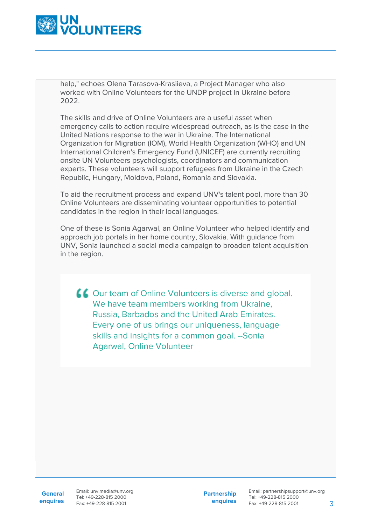

help." echoes Olena Tarasova-Krasiieva, a Project Manager who also worked with Online Volunteers for the UNDP project in Ukraine before 2022.

The skills and drive of Online Volunteers are a useful asset when emergency calls to action require widespread outreach, as is the case in the United Nations response to the war in Ukraine. The International Organization for Migration (IOM), World Health Organization (WHO) and UN International Children's Emergency Fund (UNICEF) are currently recruiting onsite UN Volunteers psychologists, coordinators and communication experts. These volunteers will support refugees from Ukraine in the Czech Republic, Hungary, Moldova, Poland, Romania and Slovakia.

To aid the recruitment process and expand UNV's talent pool, more than 30 Online Volunteers are disseminating volunteer opportunities to potential candidates in the region in their local languages.

One of these is Sonia Agarwal, an Online Volunteer who helped identify and approach job portals in her home country, Slovakia. With guidance from UNV, Sonia launched a social media campaign to broaden talent acquisition in the region.

**66** Our team of Online Volunteers is diverse and global. We have team members working from Ukraine, Russia, Barbados and the United Arab Emirates. Every one of us brings our uniqueness, language skills and insights for a common goal. --Sonia Agarwal, Online Volunteer

General Email: unv.media@unv.org **enquires** Tel: +49-228-815 2000 Fax: +49-228-815 2001

**Partnership enquires**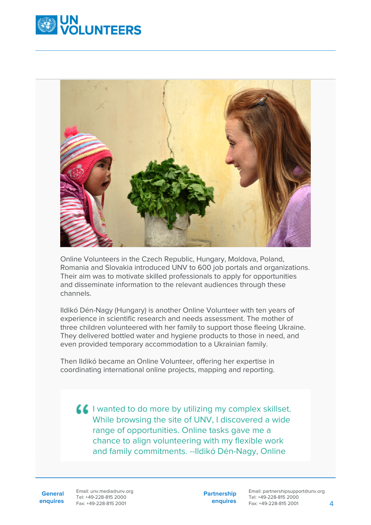



Online Volunteers in the Czech Republic, Hungary, Moldova, Poland, Romania and Slovakia introduced UNV to 600 job portals and organizations. Their aim was to motivate skilled professionals to apply for opportunities and disseminate information to the relevant audiences through these channels.

Ildikó Dén-Nagy (Hungary) is another Online Volunteer with ten years of experience in scientific research and needs assessment. The mother of three children volunteered with her family to support those fleeing Ukraine. They delivered bottled water and hygiene products to those in need, and even provided temporary accommodation to a Ukrainian family.

Then Ildikó became an Online Volunteer, offering her expertise in coordinating international online projects, mapping and reporting.

**I** wanted to do more by utilizing my complex skillset. While browsing the site of UNV, I discovered a wide range of opportunities. Online tasks gave me a chance to align volunteering with my flexible work and family commitments. --Ildikó Dén-Nagy, Online

**General enquires** Email: unv.media@unv.org Tel: +49-228-815 2000 Fax: +49-228-815 2001

**Partnership enquires** Email: partnershipsupport@unv.org Tel: +49-228-815 2000  $F_{\text{A}x': +49-228-815, 2001}$   $\Delta$